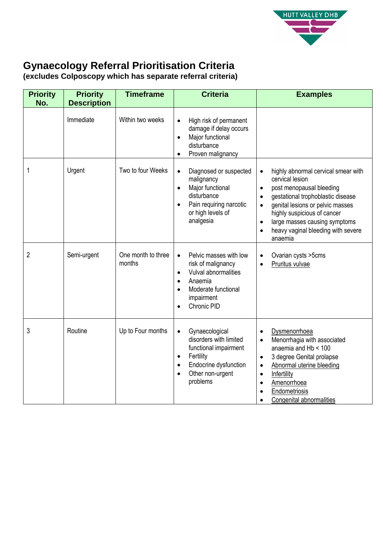

## **Gynaecology Referral Prioritisation Criteria**

**(excludes Colposcopy which has separate referral criteria)**

| <b>Priority</b><br>No. | <b>Priority</b><br><b>Description</b> | <b>Timeframe</b>             | <b>Criteria</b>                                                                                                                                                                     | <b>Examples</b>                                                                                                                                                                                                                                                                                                                               |
|------------------------|---------------------------------------|------------------------------|-------------------------------------------------------------------------------------------------------------------------------------------------------------------------------------|-----------------------------------------------------------------------------------------------------------------------------------------------------------------------------------------------------------------------------------------------------------------------------------------------------------------------------------------------|
|                        | Immediate                             | Within two weeks             | High risk of permanent<br>$\bullet$<br>damage if delay occurs<br>Major functional<br>$\bullet$<br>disturbance<br>Proven malignancy                                                  |                                                                                                                                                                                                                                                                                                                                               |
| 1                      | Urgent                                | Two to four Weeks            | Diagnosed or suspected<br>$\bullet$<br>malignancy<br>Major functional<br>$\bullet$<br>disturbance<br>Pain requiring narcotic<br>or high levels of<br>analgesia                      | highly abnormal cervical smear with<br>$\bullet$<br>cervical lesion<br>post menopausal bleeding<br>$\bullet$<br>gestational trophoblastic disease<br>$\bullet$<br>genital lesions or pelvic masses<br>$\bullet$<br>highly suspicious of cancer<br>large masses causing symptoms<br>$\bullet$<br>heavy vaginal bleeding with severe<br>anaemia |
| $\overline{2}$         | Semi-urgent                           | One month to three<br>months | Pelvic masses with low<br>$\bullet$<br>risk of malignancy<br>Vulval abnormalities<br>$\bullet$<br>Anaemia<br>$\bullet$<br>Moderate functional<br>impairment<br>Chronic PID          | Ovarian cysts > 5cms<br>$\bullet$<br>Pruritus vulvae<br>$\bullet$                                                                                                                                                                                                                                                                             |
| 3                      | Routine                               | Up to Four months            | Gynaecological<br>$\bullet$<br>disorders with limited<br>functional impairment<br>Fertility<br>٠<br>Endocrine dysfunction<br>$\bullet$<br>Other non-urgent<br>$\bullet$<br>problems | Dysmenorrhoea<br>$\bullet$<br>Menorrhagia with associated<br>$\bullet$<br>anaemia and Hb < 100<br>3 degree Genital prolapse<br>$\bullet$<br>Abnormal uterine bleeding<br>$\bullet$<br>Infertility<br>$\bullet$<br>Amenorrhoea<br>$\bullet$<br>Endometriosis<br>$\bullet$<br>Congenital abnormalities                                          |